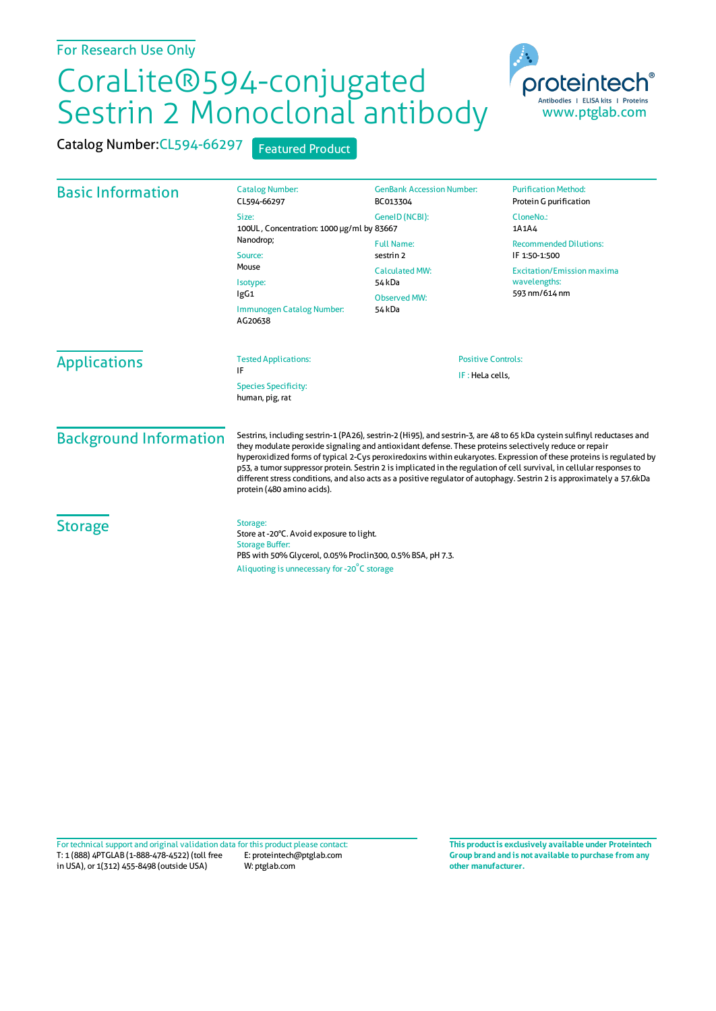## CoraLite®594-conjugated Sestrin 2 Monoclonal antibody



Catalog Number:CL594-66297 Featured Product

| <b>Basic Information</b> | <b>Catalog Number:</b><br>CL594-66297                                                                                                                                                       | <b>GenBank Accession Number:</b><br>BC013304                                                       | <b>Purification Method:</b><br>Protein G purification                                                                |                               |                                                                                                                                                                                                                                                                                                                                                                                                                                                                                                                                                                                                                                         |                                              |  |
|--------------------------|---------------------------------------------------------------------------------------------------------------------------------------------------------------------------------------------|----------------------------------------------------------------------------------------------------|----------------------------------------------------------------------------------------------------------------------|-------------------------------|-----------------------------------------------------------------------------------------------------------------------------------------------------------------------------------------------------------------------------------------------------------------------------------------------------------------------------------------------------------------------------------------------------------------------------------------------------------------------------------------------------------------------------------------------------------------------------------------------------------------------------------------|----------------------------------------------|--|
|                          | Size:<br>100UL, Concentration: 1000 µg/ml by 83667<br>Nanodrop;<br>Source:<br>Mouse<br>Isotype:<br>IgG1<br>Immunogen Catalog Number:<br>AG20638                                             | GenelD (NCBI):                                                                                     | CloneNo.:<br>1A1A4                                                                                                   |                               |                                                                                                                                                                                                                                                                                                                                                                                                                                                                                                                                                                                                                                         |                                              |  |
|                          |                                                                                                                                                                                             | <b>Full Name:</b><br>sestrin 2<br><b>Calculated MW:</b><br>54 kDa<br><b>Observed MW:</b><br>54 kDa | <b>Recommended Dilutions:</b><br>IF 1:50-1:500<br><b>Excitation/Emission maxima</b><br>wavelengths:<br>593 nm/614 nm |                               |                                                                                                                                                                                                                                                                                                                                                                                                                                                                                                                                                                                                                                         |                                              |  |
|                          |                                                                                                                                                                                             |                                                                                                    |                                                                                                                      | <b>Applications</b>           | <b>Tested Applications:</b><br>IF<br><b>Species Specificity:</b><br>human, pig, rat                                                                                                                                                                                                                                                                                                                                                                                                                                                                                                                                                     | <b>Positive Controls:</b><br>IF: HeLa cells. |  |
|                          |                                                                                                                                                                                             |                                                                                                    |                                                                                                                      | <b>Background Information</b> | Sestrins, including sestrin-1 (PA26), sestrin-2 (Hi95), and sestrin-3, are 48 to 65 kDa cystein sulfinyl reductases and<br>they modulate peroxide signaling and antioxidant defense. These proteins selectively reduce or repair<br>hyperoxidized forms of typical 2-Cys peroxiredoxins within eukaryotes. Expression of these proteins is regulated by<br>p53, a tumor suppressor protein. Sestrin 2 is implicated in the regulation of cell survival, in cellular responses to<br>different stress conditions, and also acts as a positive regulator of autophagy. Sestrin 2 is approximately a 57.6kDa<br>protein (480 amino acids). |                                              |  |
| <b>Storage</b>           | Storage:<br>Store at -20°C. Avoid exposure to light.<br><b>Storage Buffer:</b><br>PBS with 50% Glycerol, 0.05% Proclin300, 0.5% BSA, pH 7.3.<br>Aliquoting is unnecessary for -20°C storage |                                                                                                    |                                                                                                                      |                               |                                                                                                                                                                                                                                                                                                                                                                                                                                                                                                                                                                                                                                         |                                              |  |

T: 1 (888) 4PTGLAB (1-888-478-4522) (toll free in USA), or 1(312) 455-8498 (outside USA) E: proteintech@ptglab.com W: ptglab.com Fortechnical support and original validation data forthis product please contact: **This productis exclusively available under Proteintech**

**Group brand and is not available to purchase from any other manufacturer.**